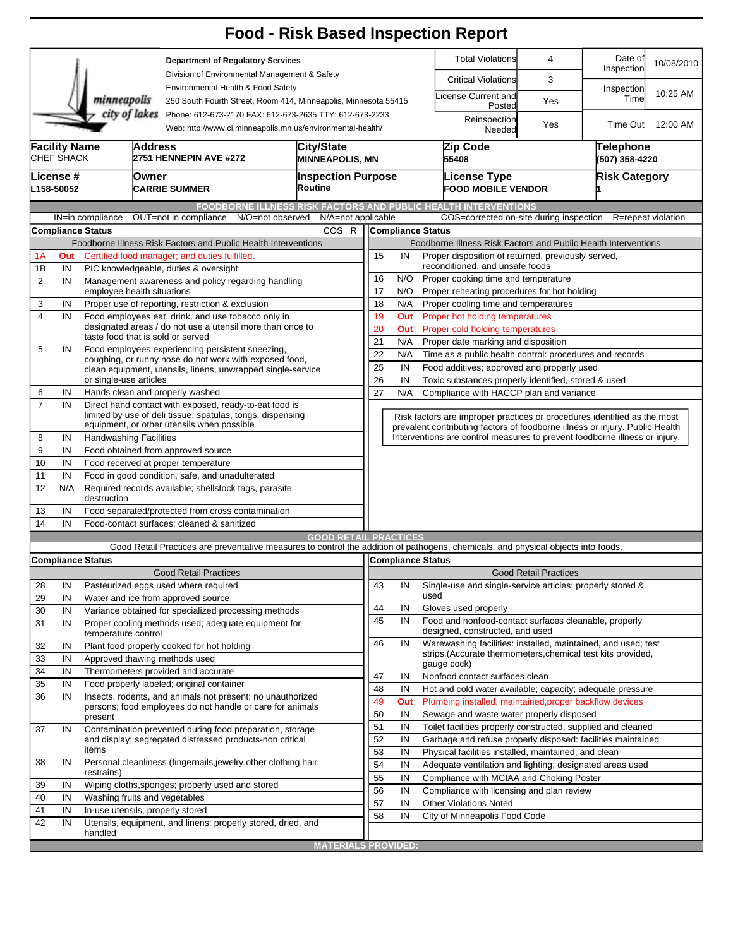|                |                                                                                                                                     |                                                                                                                       |                                                                                                                                   |                                                                 |                                               |                                                                                       |                                             |                                                          | <b>Food - Risk Based Inspection Report</b>                                                                           |                              |                       |                    |  |  |  |
|----------------|-------------------------------------------------------------------------------------------------------------------------------------|-----------------------------------------------------------------------------------------------------------------------|-----------------------------------------------------------------------------------------------------------------------------------|-----------------------------------------------------------------|-----------------------------------------------|---------------------------------------------------------------------------------------|---------------------------------------------|----------------------------------------------------------|----------------------------------------------------------------------------------------------------------------------|------------------------------|-----------------------|--------------------|--|--|--|
|                |                                                                                                                                     |                                                                                                                       |                                                                                                                                   | <b>Department of Regulatory Services</b>                        |                                               |                                                                                       |                                             |                                                          | <b>Total Violations</b>                                                                                              | 4                            | Date of<br>Inspection | 10/08/2010         |  |  |  |
|                |                                                                                                                                     |                                                                                                                       |                                                                                                                                   |                                                                 | Division of Environmental Management & Safety |                                                                                       |                                             |                                                          | <b>Critical Violations</b>                                                                                           | 3                            |                       |                    |  |  |  |
|                |                                                                                                                                     | minneapolis                                                                                                           | Environmental Health & Food Safety<br>250 South Fourth Street, Room 414, Minneapolis, Minnesota 55415                             |                                                                 |                                               |                                                                                       |                                             |                                                          | License Current and<br>Posted                                                                                        | Yes                          | Inspection<br>Time    | 10:25 AM           |  |  |  |
|                | city of lakes Phone: 612-673-2170 FAX: 612-673-2635 TTY: 612-673-2233<br>Web: http://www.ci.minneapolis.mn.us/environmental-health/ |                                                                                                                       |                                                                                                                                   |                                                                 |                                               |                                                                                       |                                             |                                                          | Reinspection<br>Needed                                                                                               | Yes                          | <b>Time Out</b>       | 12:00 AM           |  |  |  |
|                | <b>Facility Name</b><br>CHEF SHACK                                                                                                  |                                                                                                                       | Address<br><b>2751 HENNEPIN AVE #272</b>                                                                                          | <b>MINNEAPOLIS, MN</b>                                          |                                               |                                                                                       | Zip Code<br>55408                           |                                                          | Telephone<br>(507) 358-4220                                                                                          |                              |                       |                    |  |  |  |
|                | License #<br>L158-50052                                                                                                             |                                                                                                                       | Owner<br><b>CARRIE SUMMER</b>                                                                                                     |                                                                 | <b>Inspection Purpose</b><br>Routine          |                                                                                       |                                             |                                                          | <b>License Type</b><br><b>FOOD MOBILE VENDOR</b>                                                                     |                              | <b>Risk Category</b>  |                    |  |  |  |
|                |                                                                                                                                     |                                                                                                                       |                                                                                                                                   |                                                                 |                                               |                                                                                       |                                             |                                                          | <b>FOODBORNE ILLNESS RISK FACTORS AND PUBLIC HEALTH INTERVENTIONS</b>                                                |                              |                       |                    |  |  |  |
|                |                                                                                                                                     | IN=in compliance<br>Compliance Status                                                                                 | OUT=not in compliance                                                                                                             | N/O=not observed                                                | N/A=not applicable<br>COS R                   |                                                                                       | <b>Compliance Status</b>                    |                                                          | COS=corrected on-site during inspection                                                                              |                              |                       | R=repeat violation |  |  |  |
|                |                                                                                                                                     |                                                                                                                       | Foodborne Illness Risk Factors and Public Health Interventions                                                                    |                                                                 |                                               |                                                                                       |                                             |                                                          | Foodborne Illness Risk Factors and Public Health Interventions                                                       |                              |                       |                    |  |  |  |
| 1A             | Out                                                                                                                                 |                                                                                                                       | Certified food manager: and duties fulfilled.                                                                                     |                                                                 |                                               | 15                                                                                    | IN                                          |                                                          |                                                                                                                      |                              |                       |                    |  |  |  |
| 1B             | IN                                                                                                                                  |                                                                                                                       | PIC knowledgeable, duties & oversight                                                                                             |                                                                 |                                               | Proper disposition of returned, previously served,<br>reconditioned, and unsafe foods |                                             |                                                          |                                                                                                                      |                              |                       |                    |  |  |  |
| $\overline{2}$ | IN                                                                                                                                  |                                                                                                                       |                                                                                                                                   | N/O<br>16<br>Proper cooking time and temperature                |                                               |                                                                                       |                                             |                                                          |                                                                                                                      |                              |                       |                    |  |  |  |
|                |                                                                                                                                     | Management awareness and policy regarding handling<br>employee health situations                                      |                                                                                                                                   |                                                                 |                                               |                                                                                       |                                             | 17<br>N/O<br>Proper reheating procedures for hot holding |                                                                                                                      |                              |                       |                    |  |  |  |
| 3              | IN                                                                                                                                  |                                                                                                                       | Proper use of reporting, restriction & exclusion                                                                                  |                                                                 |                                               | 18                                                                                    | N/A<br>Proper cooling time and temperatures |                                                          |                                                                                                                      |                              |                       |                    |  |  |  |
| 4              | IN                                                                                                                                  | Food employees eat, drink, and use tobacco only in                                                                    |                                                                                                                                   |                                                                 |                                               |                                                                                       |                                             | 19<br>Out<br>Proper hot holding temperatures             |                                                                                                                      |                              |                       |                    |  |  |  |
|                |                                                                                                                                     | designated areas / do not use a utensil more than once to                                                             | 20<br>Proper cold holding temperatures<br>Out                                                                                     |                                                                 |                                               |                                                                                       |                                             |                                                          |                                                                                                                      |                              |                       |                    |  |  |  |
|                |                                                                                                                                     | taste food that is sold or served                                                                                     | 21<br>N/A<br>Proper date marking and disposition                                                                                  |                                                                 |                                               |                                                                                       |                                             |                                                          |                                                                                                                      |                              |                       |                    |  |  |  |
| 5              | IN                                                                                                                                  | Food employees experiencing persistent sneezing,                                                                      | 22                                                                                                                                | Time as a public health control: procedures and records<br>N/A  |                                               |                                                                                       |                                             |                                                          |                                                                                                                      |                              |                       |                    |  |  |  |
|                |                                                                                                                                     | coughing, or runny nose do not work with exposed food,<br>clean equipment, utensils, linens, unwrapped single-service |                                                                                                                                   | 25<br>IN<br>Food additives; approved and properly used          |                                               |                                                                                       |                                             |                                                          |                                                                                                                      |                              |                       |                    |  |  |  |
|                |                                                                                                                                     | or single-use articles                                                                                                |                                                                                                                                   | 26<br>IN<br>Toxic substances properly identified, stored & used |                                               |                                                                                       |                                             |                                                          |                                                                                                                      |                              |                       |                    |  |  |  |
| 6              | IN                                                                                                                                  |                                                                                                                       | Hands clean and properly washed                                                                                                   |                                                                 |                                               | 27                                                                                    | N/A                                         | Compliance with HACCP plan and variance                  |                                                                                                                      |                              |                       |                    |  |  |  |
| $\overline{7}$ | IN                                                                                                                                  |                                                                                                                       | Direct hand contact with exposed, ready-to-eat food is<br>limited by use of deli tissue, spatulas, tongs, dispensing              |                                                                 |                                               |                                                                                       |                                             |                                                          | Risk factors are improper practices or procedures identified as the most                                             |                              |                       |                    |  |  |  |
|                |                                                                                                                                     |                                                                                                                       | equipment, or other utensils when possible                                                                                        |                                                                 |                                               |                                                                                       |                                             |                                                          | prevalent contributing factors of foodborne illness or injury. Public Health                                         |                              |                       |                    |  |  |  |
| 8              | IN                                                                                                                                  |                                                                                                                       | <b>Handwashing Facilities</b>                                                                                                     |                                                                 |                                               |                                                                                       |                                             |                                                          | Interventions are control measures to prevent foodborne illness or injury.                                           |                              |                       |                    |  |  |  |
| 9              | IN                                                                                                                                  |                                                                                                                       | Food obtained from approved source                                                                                                |                                                                 |                                               |                                                                                       |                                             |                                                          |                                                                                                                      |                              |                       |                    |  |  |  |
| 10             | IN                                                                                                                                  |                                                                                                                       | Food received at proper temperature                                                                                               |                                                                 |                                               |                                                                                       |                                             |                                                          |                                                                                                                      |                              |                       |                    |  |  |  |
| 11             | IN                                                                                                                                  |                                                                                                                       | Food in good condition, safe, and unadulterated                                                                                   |                                                                 |                                               |                                                                                       |                                             |                                                          |                                                                                                                      |                              |                       |                    |  |  |  |
| 12<br>13       | N/A                                                                                                                                 | destruction                                                                                                           | Required records available; shellstock tags, parasite                                                                             |                                                                 |                                               |                                                                                       |                                             |                                                          |                                                                                                                      |                              |                       |                    |  |  |  |
| 14             | IN<br>IN                                                                                                                            |                                                                                                                       | Food separated/protected from cross contamination<br>Food-contact surfaces: cleaned & sanitized                                   |                                                                 |                                               |                                                                                       |                                             |                                                          |                                                                                                                      |                              |                       |                    |  |  |  |
|                |                                                                                                                                     |                                                                                                                       |                                                                                                                                   |                                                                 | <b>GOOD RETAIL PRACTICES</b>                  |                                                                                       |                                             |                                                          |                                                                                                                      |                              |                       |                    |  |  |  |
|                |                                                                                                                                     |                                                                                                                       | Good Retail Practices are preventative measures to control the addition of pathogens, chemicals, and physical objects into foods. |                                                                 |                                               |                                                                                       |                                             |                                                          |                                                                                                                      |                              |                       |                    |  |  |  |
|                |                                                                                                                                     | <b>Compliance Status</b>                                                                                              |                                                                                                                                   |                                                                 |                                               |                                                                                       | Compliance Status                           |                                                          |                                                                                                                      |                              |                       |                    |  |  |  |
|                |                                                                                                                                     |                                                                                                                       | <b>Good Retail Practices</b>                                                                                                      |                                                                 |                                               |                                                                                       |                                             |                                                          |                                                                                                                      | <b>Good Retail Practices</b> |                       |                    |  |  |  |
| 28             | IN                                                                                                                                  |                                                                                                                       | Pasteurized eggs used where required                                                                                              |                                                                 |                                               | 43                                                                                    | IN                                          |                                                          | Single-use and single-service articles; properly stored &                                                            |                              |                       |                    |  |  |  |
| 29             | IN                                                                                                                                  |                                                                                                                       | Water and ice from approved source                                                                                                |                                                                 |                                               |                                                                                       |                                             | used                                                     |                                                                                                                      |                              |                       |                    |  |  |  |
| 30             | IN                                                                                                                                  |                                                                                                                       | Variance obtained for specialized processing methods                                                                              |                                                                 |                                               | 44                                                                                    | IN                                          |                                                          | Gloves used properly                                                                                                 |                              |                       |                    |  |  |  |
| 31             | IN                                                                                                                                  | temperature control                                                                                                   | Proper cooling methods used; adequate equipment for                                                                               |                                                                 |                                               | 45                                                                                    | IN                                          |                                                          | Food and nonfood-contact surfaces cleanable, properly<br>designed, constructed, and used                             |                              |                       |                    |  |  |  |
| 32             | IN                                                                                                                                  |                                                                                                                       | Plant food properly cooked for hot holding                                                                                        |                                                                 |                                               | 46                                                                                    | IN                                          |                                                          | Warewashing facilities: installed, maintained, and used; test                                                        |                              |                       |                    |  |  |  |
| 33             | IN                                                                                                                                  |                                                                                                                       | Approved thawing methods used                                                                                                     |                                                                 |                                               |                                                                                       |                                             |                                                          | strips. (Accurate thermometers, chemical test kits provided,                                                         |                              |                       |                    |  |  |  |
| 34             | IN                                                                                                                                  |                                                                                                                       | Thermometers provided and accurate                                                                                                |                                                                 |                                               | 47                                                                                    | IN                                          |                                                          | gauge cock)<br>Nonfood contact surfaces clean                                                                        |                              |                       |                    |  |  |  |
| 35             | IN                                                                                                                                  |                                                                                                                       | Food properly labeled; original container                                                                                         |                                                                 |                                               |                                                                                       |                                             |                                                          |                                                                                                                      |                              |                       |                    |  |  |  |
| 36             | IN                                                                                                                                  |                                                                                                                       | Insects, rodents, and animals not present; no unauthorized                                                                        |                                                                 |                                               | 48<br>49                                                                              | IN<br>Out                                   |                                                          | Hot and cold water available; capacity; adequate pressure<br>Plumbing installed, maintained, proper backflow devices |                              |                       |                    |  |  |  |
|                |                                                                                                                                     |                                                                                                                       | persons; food employees do not handle or care for animals                                                                         |                                                                 |                                               |                                                                                       |                                             |                                                          | Sewage and waste water properly disposed                                                                             |                              |                       |                    |  |  |  |
|                |                                                                                                                                     | present                                                                                                               |                                                                                                                                   |                                                                 |                                               | 50<br>51                                                                              | IN<br>IN                                    |                                                          | Toilet facilities properly constructed, supplied and cleaned                                                         |                              |                       |                    |  |  |  |
| 37             | IN                                                                                                                                  |                                                                                                                       | Contamination prevented during food preparation, storage                                                                          |                                                                 |                                               | 52                                                                                    | IN                                          |                                                          | Garbage and refuse properly disposed: facilities maintained                                                          |                              |                       |                    |  |  |  |
|                |                                                                                                                                     | items                                                                                                                 | and display; segregated distressed products-non critical                                                                          |                                                                 |                                               |                                                                                       |                                             |                                                          | Physical facilities installed, maintained, and clean                                                                 |                              |                       |                    |  |  |  |
| 38             | IN                                                                                                                                  | Personal cleanliness (fingernails, jewelry, other clothing, hair                                                      |                                                                                                                                   |                                                                 |                                               | 53<br>54                                                                              | IN<br>IN                                    |                                                          | Adequate ventilation and lighting; designated areas used                                                             |                              |                       |                    |  |  |  |
|                |                                                                                                                                     | restrains)                                                                                                            |                                                                                                                                   |                                                                 |                                               |                                                                                       | IN                                          |                                                          | Compliance with MCIAA and Choking Poster                                                                             |                              |                       |                    |  |  |  |
| 39             | IN                                                                                                                                  |                                                                                                                       | Wiping cloths, sponges; properly used and stored                                                                                  |                                                                 |                                               | 55<br>56                                                                              | IN                                          |                                                          | Compliance with licensing and plan review                                                                            |                              |                       |                    |  |  |  |
| 40             | IN                                                                                                                                  |                                                                                                                       | Washing fruits and vegetables                                                                                                     |                                                                 |                                               | 57                                                                                    | IN                                          |                                                          | <b>Other Violations Noted</b>                                                                                        |                              |                       |                    |  |  |  |
| 41             | IN                                                                                                                                  |                                                                                                                       | In-use utensils; properly stored                                                                                                  |                                                                 |                                               |                                                                                       |                                             |                                                          |                                                                                                                      |                              |                       |                    |  |  |  |
| 42             | IN                                                                                                                                  |                                                                                                                       | Utensils, equipment, and linens: properly stored, dried, and                                                                      |                                                                 |                                               | 58                                                                                    | IN                                          |                                                          | City of Minneapolis Food Code                                                                                        |                              |                       |                    |  |  |  |
|                |                                                                                                                                     | handled                                                                                                               |                                                                                                                                   |                                                                 |                                               |                                                                                       |                                             |                                                          |                                                                                                                      |                              |                       |                    |  |  |  |
|                |                                                                                                                                     |                                                                                                                       |                                                                                                                                   |                                                                 | <b>MATERIALS PROVIDED:</b>                    |                                                                                       |                                             |                                                          |                                                                                                                      |                              |                       |                    |  |  |  |